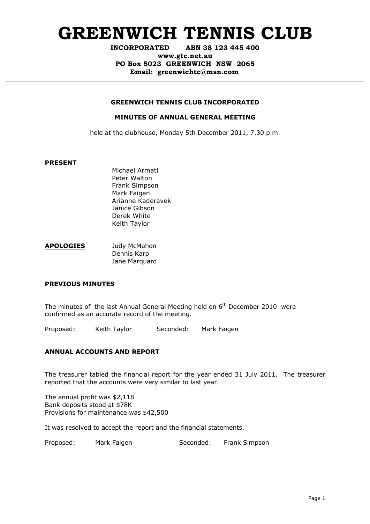# **GREENWICH TENNIS CLUB**

**INCORPORATED ABN 38 123 445 400**

**www.gtc.net.au PO Box 5023 GREENWICH NSW 2065 Email: greenwichtc@msn.com**

### **GREENWICH TENNIS CLUB INCORPORATED**

### **MINUTES OF ANNUAL GENERAL MEETING**

held at the clubhouse, Monday 5th December 2011, 7.30 p.m.

#### **PRESENT**

Michael Armati Peter Walton Frank Simpson Mark Faigen Arianne Kaderavek Janice Gibson Derek White Keith Taylor

| <b>APOLOGIES</b> | Judy McMahon  |
|------------------|---------------|
|                  | Dennis Karp   |
|                  | Jane Marquard |

### **PREVIOUS MINUTES**

The minutes of the last Annual General Meeting held on  $6<sup>th</sup>$  December 2010 were confirmed as an accurate record of the meeting.

Proposed: Keith Taylor Seconded: Mark Faigen

## **ANNUAL ACCOUNTS AND REPORT**

The treasurer tabled the financial report for the year ended 31 July 2011. The treasurer reported that the accounts were very similar to last year.

The annual profit was \$2,118 Bank deposits stood at \$78K Provisions for maintenance was \$42,500

It was resolved to accept the report and the financial statements.

Proposed: Mark Faigen Seconded: Frank Simpson